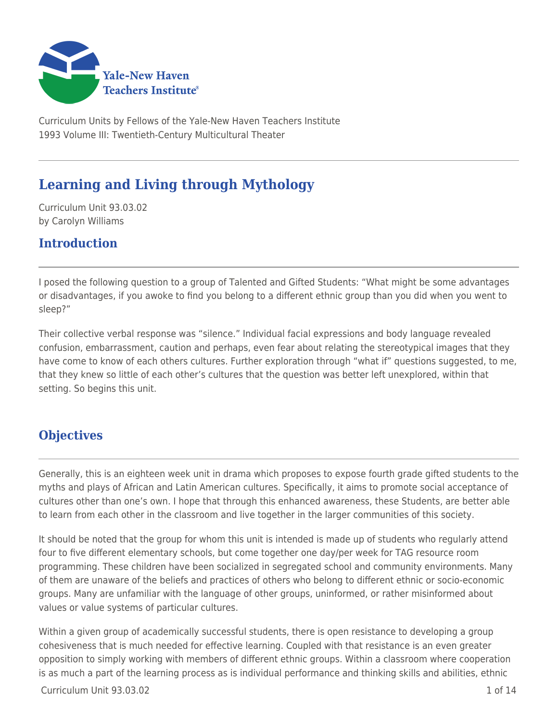

Curriculum Units by Fellows of the Yale-New Haven Teachers Institute 1993 Volume III: Twentieth-Century Multicultural Theater

# **Learning and Living through Mythology**

Curriculum Unit 93.03.02 by Carolyn Williams

### **Introduction**

I posed the following question to a group of Talented and Gifted Students: "What might be some advantages or disadvantages, if you awoke to find you belong to a different ethnic group than you did when you went to sleep?"

Their collective verbal response was "silence." Individual facial expressions and body language revealed confusion, embarrassment, caution and perhaps, even fear about relating the stereotypical images that they have come to know of each others cultures. Further exploration through "what if" questions suggested, to me, that they knew so little of each other's cultures that the question was better left unexplored, within that setting. So begins this unit.

### **Objectives**

Generally, this is an eighteen week unit in drama which proposes to expose fourth grade gifted students to the myths and plays of African and Latin American cultures. Specifically, it aims to promote social acceptance of cultures other than one's own. I hope that through this enhanced awareness, these Students, are better able to learn from each other in the classroom and live together in the larger communities of this society.

It should be noted that the group for whom this unit is intended is made up of students who regularly attend four to five different elementary schools, but come together one day/per week for TAG resource room programming. These children have been socialized in segregated school and community environments. Many of them are unaware of the beliefs and practices of others who belong to different ethnic or socio-economic groups. Many are unfamiliar with the language of other groups, uninformed, or rather misinformed about values or value systems of particular cultures.

Within a given group of academically successful students, there is open resistance to developing a group cohesiveness that is much needed for effective learning. Coupled with that resistance is an even greater opposition to simply working with members of different ethnic groups. Within a classroom where cooperation is as much a part of the learning process as is individual performance and thinking skills and abilities, ethnic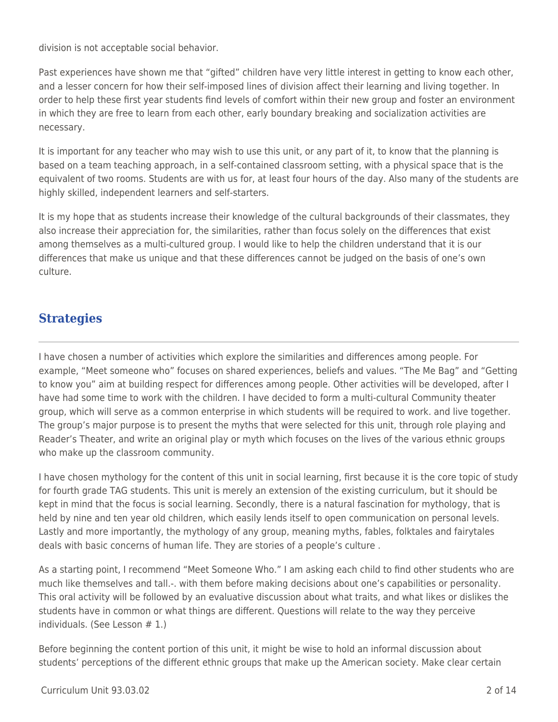division is not acceptable social behavior.

Past experiences have shown me that "gifted" children have very little interest in getting to know each other, and a lesser concern for how their self-imposed lines of division affect their learning and living together. In order to help these first year students find levels of comfort within their new group and foster an environment in which they are free to learn from each other, early boundary breaking and socialization activities are necessary.

It is important for any teacher who may wish to use this unit, or any part of it, to know that the planning is based on a team teaching approach, in a self-contained classroom setting, with a physical space that is the equivalent of two rooms. Students are with us for, at least four hours of the day. Also many of the students are highly skilled, independent learners and self-starters.

It is my hope that as students increase their knowledge of the cultural backgrounds of their classmates, they also increase their appreciation for, the similarities, rather than focus solely on the differences that exist among themselves as a multi-cultured group. I would like to help the children understand that it is our differences that make us unique and that these differences cannot be judged on the basis of one's own culture.

## **Strategies**

I have chosen a number of activities which explore the similarities and differences among people. For example, "Meet someone who" focuses on shared experiences, beliefs and values. "The Me Bag" and "Getting to know you" aim at building respect for differences among people. Other activities will be developed, after I have had some time to work with the children. I have decided to form a multi-cultural Community theater group, which will serve as a common enterprise in which students will be required to work. and live together. The group's major purpose is to present the myths that were selected for this unit, through role playing and Reader's Theater, and write an original play or myth which focuses on the lives of the various ethnic groups who make up the classroom community.

I have chosen mythology for the content of this unit in social learning, first because it is the core topic of study for fourth grade TAG students. This unit is merely an extension of the existing curriculum, but it should be kept in mind that the focus is social learning. Secondly, there is a natural fascination for mythology, that is held by nine and ten year old children, which easily lends itself to open communication on personal levels. Lastly and more importantly, the mythology of any group, meaning myths, fables, folktales and fairytales deals with basic concerns of human life. They are stories of a people's culture .

As a starting point, I recommend "Meet Someone Who." I am asking each child to find other students who are much like themselves and tall.-. with them before making decisions about one's capabilities or personality. This oral activity will be followed by an evaluative discussion about what traits, and what likes or dislikes the students have in common or what things are different. Questions will relate to the way they perceive individuals. (See Lesson # 1.)

Before beginning the content portion of this unit, it might be wise to hold an informal discussion about students' perceptions of the different ethnic groups that make up the American society. Make clear certain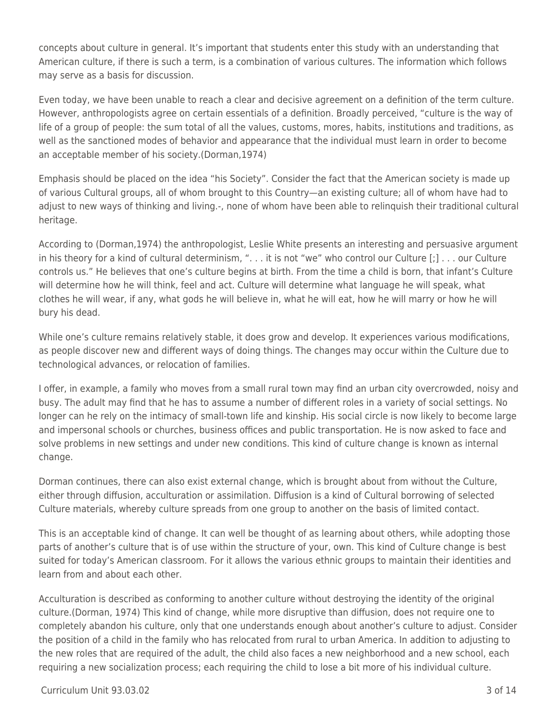concepts about culture in general. It's important that students enter this study with an understanding that American culture, if there is such a term, is a combination of various cultures. The information which follows may serve as a basis for discussion.

Even today, we have been unable to reach a clear and decisive agreement on a definition of the term culture. However, anthropologists agree on certain essentials of a definition. Broadly perceived, "culture is the way of life of a group of people: the sum total of all the values, customs, mores, habits, institutions and traditions, as well as the sanctioned modes of behavior and appearance that the individual must learn in order to become an acceptable member of his society.(Dorman,1974)

Emphasis should be placed on the idea "his Society". Consider the fact that the American society is made up of various Cultural groups, all of whom brought to this Country—an existing culture; all of whom have had to adjust to new ways of thinking and living.-, none of whom have been able to relinquish their traditional cultural heritage.

According to (Dorman,1974) the anthropologist, Leslie White presents an interesting and persuasive argument in his theory for a kind of cultural determinism, ". . . it is not "we" who control our Culture [;] . . . our Culture controls us." He believes that one's culture begins at birth. From the time a child is born, that infant's Culture will determine how he will think, feel and act. Culture will determine what language he will speak, what clothes he will wear, if any, what gods he will believe in, what he will eat, how he will marry or how he will bury his dead.

While one's culture remains relatively stable, it does grow and develop. It experiences various modifications, as people discover new and different ways of doing things. The changes may occur within the Culture due to technological advances, or relocation of families.

I offer, in example, a family who moves from a small rural town may find an urban city overcrowded, noisy and busy. The adult may find that he has to assume a number of different roles in a variety of social settings. No longer can he rely on the intimacy of small-town life and kinship. His social circle is now likely to become large and impersonal schools or churches, business offices and public transportation. He is now asked to face and solve problems in new settings and under new conditions. This kind of culture change is known as internal change.

Dorman continues, there can also exist external change, which is brought about from without the Culture, either through diffusion, acculturation or assimilation. Diffusion is a kind of Cultural borrowing of selected Culture materials, whereby culture spreads from one group to another on the basis of limited contact.

This is an acceptable kind of change. It can well be thought of as learning about others, while adopting those parts of another's culture that is of use within the structure of your, own. This kind of Culture change is best suited for today's American classroom. For it allows the various ethnic groups to maintain their identities and learn from and about each other.

Acculturation is described as conforming to another culture without destroying the identity of the original culture.(Dorman, 1974) This kind of change, while more disruptive than diffusion, does not require one to completely abandon his culture, only that one understands enough about another's culture to adjust. Consider the position of a child in the family who has relocated from rural to urban America. In addition to adjusting to the new roles that are required of the adult, the child also faces a new neighborhood and a new school, each requiring a new socialization process; each requiring the child to lose a bit more of his individual culture.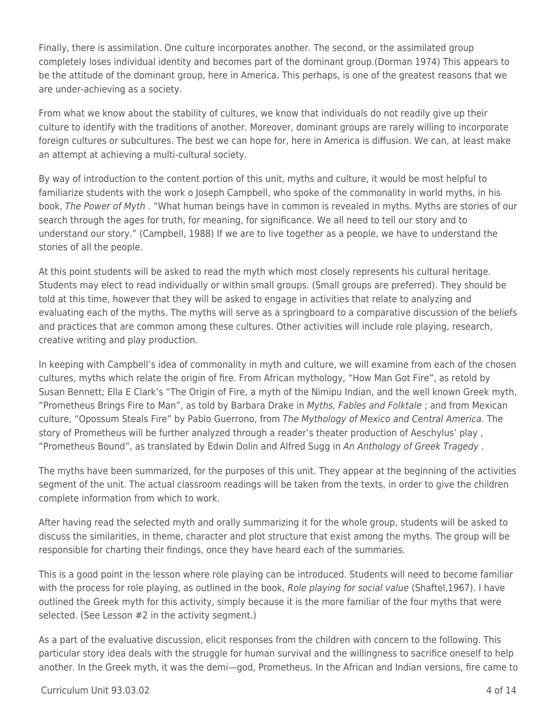Finally, there is assimilation. One culture incorporates another. The second, or the assimilated group completely loses individual identity and becomes part of the dominant group.(Dorman 1974) This appears to be the attitude of the dominant group, here in America. This perhaps, is one of the greatest reasons that we are under-achieving as a society.

From what we know about the stability of cultures, we know that individuals do not readily give up their culture to identify with the traditions of another. Moreover, dominant groups are rarely willing to incorporate foreign cultures or subcultures. The best we can hope for, here in America is diffusion. We can, at least make an attempt at achieving a multi-cultural society.

By way of introduction to the content portion of this unit, myths and culture, it would be most helpful to familiarize students with the work o Joseph Campbell, who spoke of the commonality in world myths, in his book, The Power of Myth . "What human beings have in common is revealed in myths. Myths are stories of our search through the ages for truth, for meaning, for significance. We all need to tell our story and to understand our story." (Campbell, 1988) If we are to live together as a people, we have to understand the stories of all the people.

At this point students will be asked to read the myth which most closely represents his cultural heritage. Students may elect to read individually or within small groups. (Small groups are preferred). They should be told at this time, however that they will be asked to engage in activities that relate to analyzing and evaluating each of the myths. The myths will serve as a springboard to a comparative discussion of the beliefs and practices that are common among these cultures. Other activities will include role playing, research, creative writing and play production.

In keeping with Campbell's idea of commonality in myth and culture, we will examine from each of the chosen cultures, myths which relate the origin of fire. From African mythology, "How Man Got Fire", as retold by Susan Bennett; Ella E Clark's "The Origin of Fire, a myth of the Nimipu Indian, and the well known Greek myth, "Prometheus Brings Fire to Man", as told by Barbara Drake in Myths, Fables and Folktale ; and from Mexican culture, "Opossum Steals Fire" by Pablo Guerrono, from The Mythology of Mexico and Central America. The story of Prometheus will be further analyzed through a reader's theater production of Aeschylus' play , "Prometheus Bound", as translated by Edwin Dolin and Alfred Sugg in An Anthology of Greek Tragedy .

The myths have been summarized, for the purposes of this unit. They appear at the beginning of the activities segment of the unit. The actual classroom readings will be taken from the texts, in order to give the children complete information from which to work.

After having read the selected myth and orally summarizing it for the whole group, students will be asked to discuss the similarities, in theme, character and plot structure that exist among the myths. The group will be responsible for charting their findings, once they have heard each of the summaries.

This is a good point in the lesson where role playing can be introduced. Students will need to become familiar with the process for role playing, as outlined in the book, Role playing for social value (Shaftel, 1967). I have outlined the Greek myth for this activity, simply because it is the more familiar of the four myths that were selected. (See Lesson #2 in the activity segment.)

As a part of the evaluative discussion, elicit responses from the children with concern to the following. This particular story idea deals with the struggle for human survival and the willingness to sacrifice oneself to help another. In the Greek myth, it was the demi—god, Prometheus. In the African and Indian versions, fire came to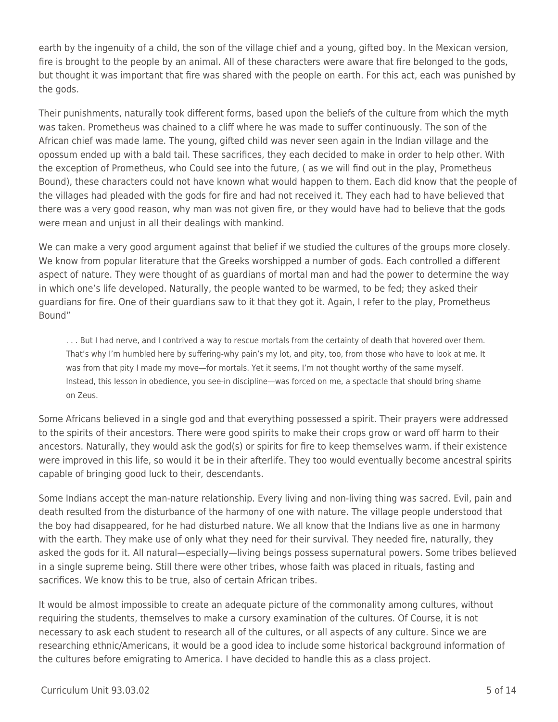earth by the ingenuity of a child, the son of the village chief and a young, gifted boy. In the Mexican version, fire is brought to the people by an animal. All of these characters were aware that fire belonged to the gods, but thought it was important that fire was shared with the people on earth. For this act, each was punished by the gods.

Their punishments, naturally took different forms, based upon the beliefs of the culture from which the myth was taken. Prometheus was chained to a cliff where he was made to suffer continuously. The son of the African chief was made lame. The young, gifted child was never seen again in the Indian village and the opossum ended up with a bald tail. These sacrifices, they each decided to make in order to help other. With the exception of Prometheus, who Could see into the future, ( as we will find out in the play, Prometheus Bound), these characters could not have known what would happen to them. Each did know that the people of the villages had pleaded with the gods for fire and had not received it. They each had to have believed that there was a very good reason, why man was not given fire, or they would have had to believe that the gods were mean and unjust in all their dealings with mankind.

We can make a very good argument against that belief if we studied the cultures of the groups more closely. We know from popular literature that the Greeks worshipped a number of gods. Each controlled a different aspect of nature. They were thought of as guardians of mortal man and had the power to determine the way in which one's life developed. Naturally, the people wanted to be warmed, to be fed; they asked their guardians for fire. One of their guardians saw to it that they got it. Again, I refer to the play, Prometheus Bound"

. . . But I had nerve, and I contrived a way to rescue mortals from the certainty of death that hovered over them. That's why I'm humbled here by suffering-why pain's my lot, and pity, too, from those who have to look at me. It was from that pity I made my move—for mortals. Yet it seems, I'm not thought worthy of the same myself. Instead, this lesson in obedience, you see-in discipline—was forced on me, a spectacle that should bring shame on Zeus.

Some Africans believed in a single god and that everything possessed a spirit. Their prayers were addressed to the spirits of their ancestors. There were good spirits to make their crops grow or ward off harm to their ancestors. Naturally, they would ask the god(s) or spirits for fire to keep themselves warm. if their existence were improved in this life, so would it be in their afterlife. They too would eventually become ancestral spirits capable of bringing good luck to their, descendants.

Some Indians accept the man-nature relationship. Every living and non-living thing was sacred. Evil, pain and death resulted from the disturbance of the harmony of one with nature. The village people understood that the boy had disappeared, for he had disturbed nature. We all know that the Indians live as one in harmony with the earth. They make use of only what they need for their survival. They needed fire, naturally, they asked the gods for it. All natural—especially—living beings possess supernatural powers. Some tribes believed in a single supreme being. Still there were other tribes, whose faith was placed in rituals, fasting and sacrifices. We know this to be true, also of certain African tribes.

It would be almost impossible to create an adequate picture of the commonality among cultures, without requiring the students, themselves to make a cursory examination of the cultures. Of Course, it is not necessary to ask each student to research all of the cultures, or all aspects of any culture. Since we are researching ethnic/Americans, it would be a good idea to include some historical background information of the cultures before emigrating to America. I have decided to handle this as a class project.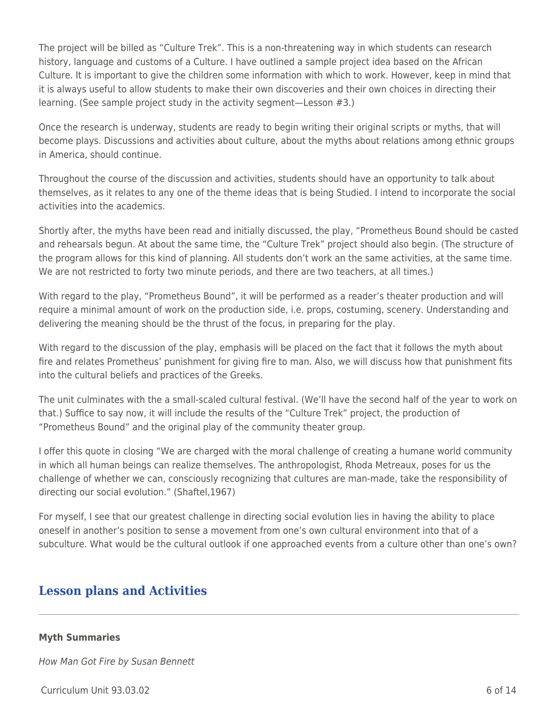The project will be billed as "Culture Trek". This is a non-threatening way in which students can research history, language and customs of a Culture. I have outlined a sample project idea based on the African Culture. It is important to give the children some information with which to work. However, keep in mind that it is always useful to allow students to make their own discoveries and their own choices in directing their learning. (See sample project study in the activity segment—Lesson #3.)

Once the research is underway, students are ready to begin writing their original scripts or myths, that will become plays. Discussions and activities about culture, about the myths about relations among ethnic groups in America, should continue.

Throughout the course of the discussion and activities, students should have an opportunity to talk about themselves, as it relates to any one of the theme ideas that is being Studied. I intend to incorporate the social activities into the academics.

Shortly after, the myths have been read and initially discussed, the play, "Prometheus Bound should be casted and rehearsals begun. At about the same time, the "Culture Trek" project should also begin. (The structure of the program allows for this kind of planning. All students don't work an the same activities, at the same time. We are not restricted to forty two minute periods, and there are two teachers, at all times.)

With regard to the play, "Prometheus Bound", it will be performed as a reader's theater production and will require a minimal amount of work on the production side, i.e. props, costuming, scenery. Understanding and delivering the meaning should be the thrust of the focus, in preparing for the play.

With regard to the discussion of the play, emphasis will be placed on the fact that it follows the myth about fire and relates Prometheus' punishment for giving fire to man. Also, we will discuss how that punishment fits into the cultural beliefs and practices of the Greeks.

The unit culminates with the a small-scaled cultural festival. (We'll have the second half of the year to work on that.) Suffice to say now, it will include the results of the "Culture Trek" project, the production of "Prometheus Bound" and the original play of the community theater group.

I offer this quote in closing "We are charged with the moral challenge of creating a humane world community in which all human beings can realize themselves. The anthropologist, Rhoda Metreaux, poses for us the challenge of whether we can, consciously recognizing that cultures are man-made, take the responsibility of directing our social evolution." (Shaftel,1967)

For myself, I see that our greatest challenge in directing social evolution lies in having the ability to place oneself in another's position to sense a movement from one's own cultural environment into that of a subculture. What would be the cultural outlook if one approached events from a culture other than one's own?

### **Lesson plans and Activities**

### **Myth Summaries**

How Man Got Fire by Susan Bennett

Curriculum Unit 93.03.02 6 of 14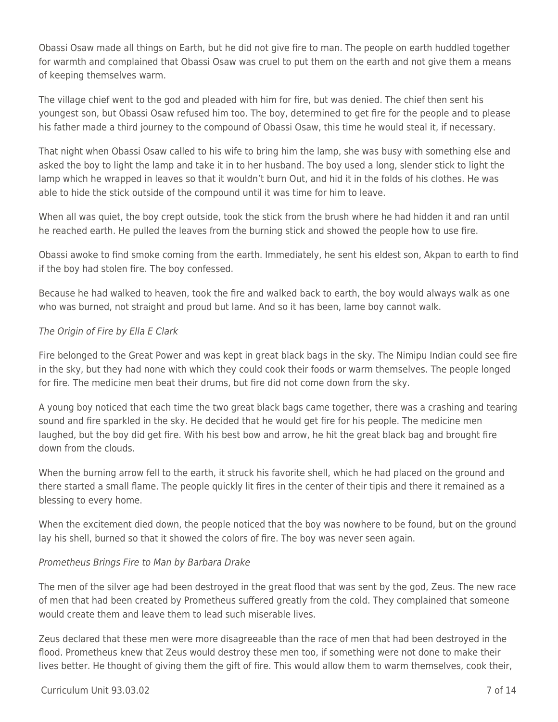Obassi Osaw made all things on Earth, but he did not give fire to man. The people on earth huddled together for warmth and complained that Obassi Osaw was cruel to put them on the earth and not give them a means of keeping themselves warm.

The village chief went to the god and pleaded with him for fire, but was denied. The chief then sent his youngest son, but Obassi Osaw refused him too. The boy, determined to get fire for the people and to please his father made a third journey to the compound of Obassi Osaw, this time he would steal it, if necessary.

That night when Obassi Osaw called to his wife to bring him the lamp, she was busy with something else and asked the boy to light the lamp and take it in to her husband. The boy used a long, slender stick to light the lamp which he wrapped in leaves so that it wouldn't burn Out, and hid it in the folds of his clothes. He was able to hide the stick outside of the compound until it was time for him to leave.

When all was quiet, the boy crept outside, took the stick from the brush where he had hidden it and ran until he reached earth. He pulled the leaves from the burning stick and showed the people how to use fire.

Obassi awoke to find smoke coming from the earth. Immediately, he sent his eldest son, Akpan to earth to find if the boy had stolen fire. The boy confessed.

Because he had walked to heaven, took the fire and walked back to earth, the boy would always walk as one who was burned, not straight and proud but lame. And so it has been, lame boy cannot walk.

### The Origin of Fire by Ella E Clark

Fire belonged to the Great Power and was kept in great black bags in the sky. The Nimipu Indian could see fire in the sky, but they had none with which they could cook their foods or warm themselves. The people longed for fire. The medicine men beat their drums, but fire did not come down from the sky.

A young boy noticed that each time the two great black bags came together, there was a crashing and tearing sound and fire sparkled in the sky. He decided that he would get fire for his people. The medicine men laughed, but the boy did get fire. With his best bow and arrow, he hit the great black bag and brought fire down from the clouds.

When the burning arrow fell to the earth, it struck his favorite shell, which he had placed on the ground and there started a small flame. The people quickly lit fires in the center of their tipis and there it remained as a blessing to every home.

When the excitement died down, the people noticed that the boy was nowhere to be found, but on the ground lay his shell, burned so that it showed the colors of fire. The boy was never seen again.

### Prometheus Brings Fire to Man by Barbara Drake

The men of the silver age had been destroyed in the great flood that was sent by the god, Zeus. The new race of men that had been created by Prometheus suffered greatly from the cold. They complained that someone would create them and leave them to lead such miserable lives.

Zeus declared that these men were more disagreeable than the race of men that had been destroyed in the flood. Prometheus knew that Zeus would destroy these men too, if something were not done to make their lives better. He thought of giving them the gift of fire. This would allow them to warm themselves, cook their,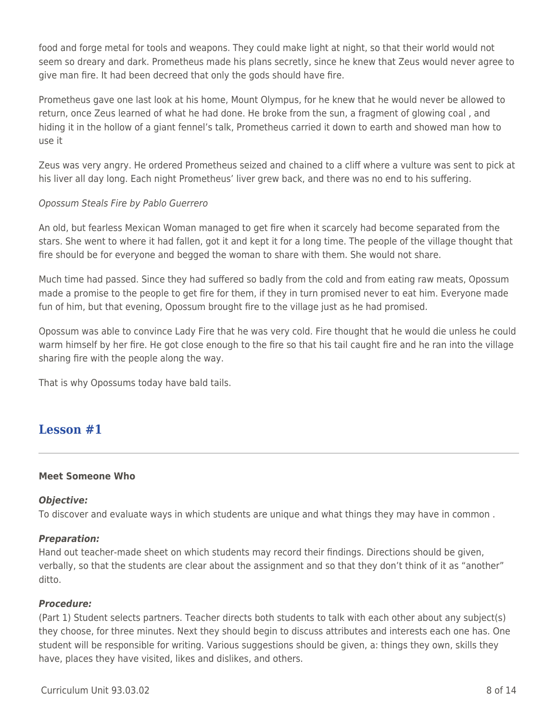food and forge metal for tools and weapons. They could make light at night, so that their world would not seem so dreary and dark. Prometheus made his plans secretly, since he knew that Zeus would never agree to give man fire. It had been decreed that only the gods should have fire.

Prometheus gave one last look at his home, Mount Olympus, for he knew that he would never be allowed to return, once Zeus learned of what he had done. He broke from the sun, a fragment of glowing coal , and hiding it in the hollow of a giant fennel's talk, Prometheus carried it down to earth and showed man how to use it

Zeus was very angry. He ordered Prometheus seized and chained to a cliff where a vulture was sent to pick at his liver all day long. Each night Prometheus' liver grew back, and there was no end to his suffering.

### Opossum Steals Fire by Pablo Guerrero

An old, but fearless Mexican Woman managed to get fire when it scarcely had become separated from the stars. She went to where it had fallen, got it and kept it for a long time. The people of the village thought that fire should be for everyone and begged the woman to share with them. She would not share.

Much time had passed. Since they had suffered so badly from the cold and from eating raw meats, Opossum made a promise to the people to get fire for them, if they in turn promised never to eat him. Everyone made fun of him, but that evening, Opossum brought fire to the village just as he had promised.

Opossum was able to convince Lady Fire that he was very cold. Fire thought that he would die unless he could warm himself by her fire. He got close enough to the fire so that his tail caught fire and he ran into the village sharing fire with the people along the way.

That is why Opossums today have bald tails.

### **Lesson #1**

### **Meet Someone Who**

### *Objective:*

To discover and evaluate ways in which students are unique and what things they may have in common .

### *Preparation:*

Hand out teacher-made sheet on which students may record their findings. Directions should be given, verbally, so that the students are clear about the assignment and so that they don't think of it as "another" ditto.

### *Procedure:*

(Part 1) Student selects partners. Teacher directs both students to talk with each other about any subject(s) they choose, for three minutes. Next they should begin to discuss attributes and interests each one has. One student will be responsible for writing. Various suggestions should be given, a: things they own, skills they have, places they have visited, likes and dislikes, and others.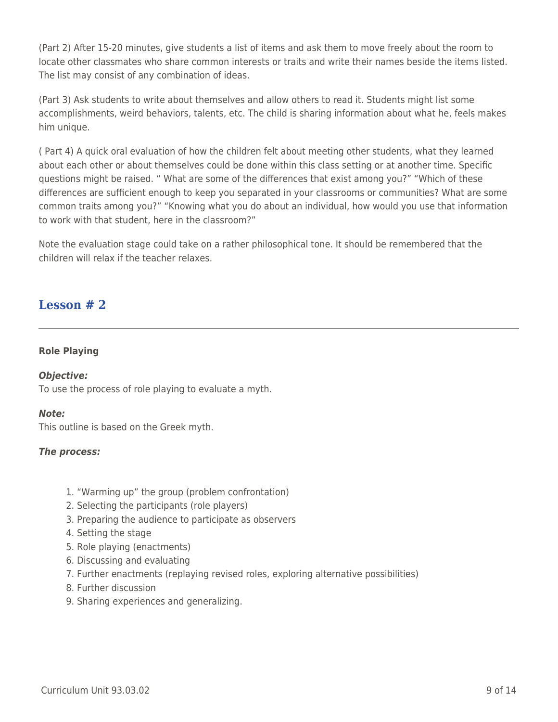(Part 2) After 15-20 minutes, give students a list of items and ask them to move freely about the room to locate other classmates who share common interests or traits and write their names beside the items listed. The list may consist of any combination of ideas.

(Part 3) Ask students to write about themselves and allow others to read it. Students might list some accomplishments, weird behaviors, talents, etc. The child is sharing information about what he, feels makes him unique.

( Part 4) A quick oral evaluation of how the children felt about meeting other students, what they learned about each other or about themselves could be done within this class setting or at another time. Specific questions might be raised. " What are some of the differences that exist among you?" "Which of these differences are sufficient enough to keep you separated in your classrooms or communities? What are some common traits among you?" "Knowing what you do about an individual, how would you use that information to work with that student, here in the classroom?"

Note the evaluation stage could take on a rather philosophical tone. It should be remembered that the children will relax if the teacher relaxes.

### **Lesson # 2**

### **Role Playing**

### *Objective:*

To use the process of role playing to evaluate a myth.

### *Note:*

This outline is based on the Greek myth.

### *The process:*

- 1. "Warming up" the group (problem confrontation)
- 2. Selecting the participants (role players)
- 3. Preparing the audience to participate as observers
- 4. Setting the stage
- 5. Role playing (enactments)
- 6. Discussing and evaluating
- 7. Further enactments (replaying revised roles, exploring alternative possibilities)
- 8. Further discussion
- 9. Sharing experiences and generalizing.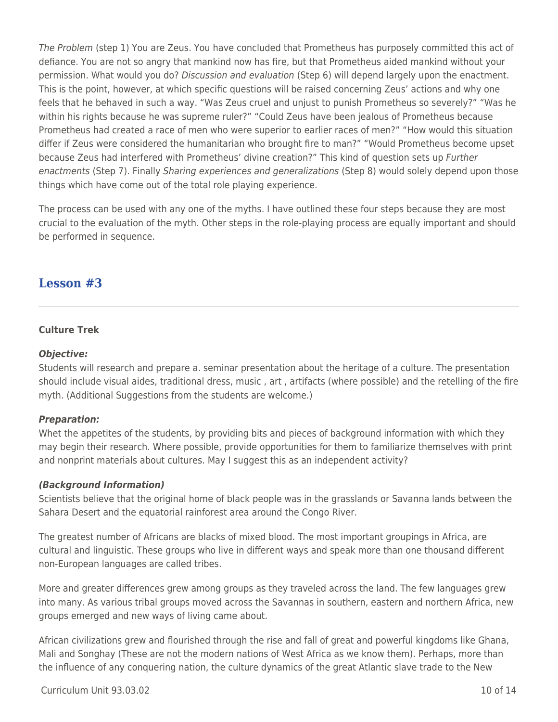The Problem (step 1) You are Zeus. You have concluded that Prometheus has purposely committed this act of defiance. You are not so angry that mankind now has fire, but that Prometheus aided mankind without your permission. What would you do? Discussion and evaluation (Step 6) will depend largely upon the enactment. This is the point, however, at which specific questions will be raised concerning Zeus' actions and why one feels that he behaved in such a way. "Was Zeus cruel and unjust to punish Prometheus so severely?" "Was he within his rights because he was supreme ruler?" "Could Zeus have been jealous of Prometheus because Prometheus had created a race of men who were superior to earlier races of men?" "How would this situation differ if Zeus were considered the humanitarian who brought fire to man?" "Would Prometheus become upset because Zeus had interfered with Prometheus' divine creation?" This kind of question sets up Further enactments (Step 7). Finally Sharing experiences and generalizations (Step 8) would solely depend upon those things which have come out of the total role playing experience.

The process can be used with any one of the myths. I have outlined these four steps because they are most crucial to the evaluation of the myth. Other steps in the role-playing process are equally important and should be performed in sequence.

### **Lesson #3**

### **Culture Trek**

### *Objective:*

Students will research and prepare a. seminar presentation about the heritage of a culture. The presentation should include visual aides, traditional dress, music , art , artifacts (where possible) and the retelling of the fire myth. (Additional Suggestions from the students are welcome.)

### *Preparation:*

Whet the appetites of the students, by providing bits and pieces of background information with which they may begin their research. Where possible, provide opportunities for them to familiarize themselves with print and nonprint materials about cultures. May I suggest this as an independent activity?

### *(Background Information)*

Scientists believe that the original home of black people was in the grasslands or Savanna lands between the Sahara Desert and the equatorial rainforest area around the Congo River.

The greatest number of Africans are blacks of mixed blood. The most important groupings in Africa, are cultural and linguistic. These groups who live in different ways and speak more than one thousand different non-European languages are called tribes.

More and greater differences grew among groups as they traveled across the land. The few languages grew into many. As various tribal groups moved across the Savannas in southern, eastern and northern Africa, new groups emerged and new ways of living came about.

African civilizations grew and flourished through the rise and fall of great and powerful kingdoms like Ghana, Mali and Songhay (These are not the modern nations of West Africa as we know them). Perhaps, more than the influence of any conquering nation, the culture dynamics of the great Atlantic slave trade to the New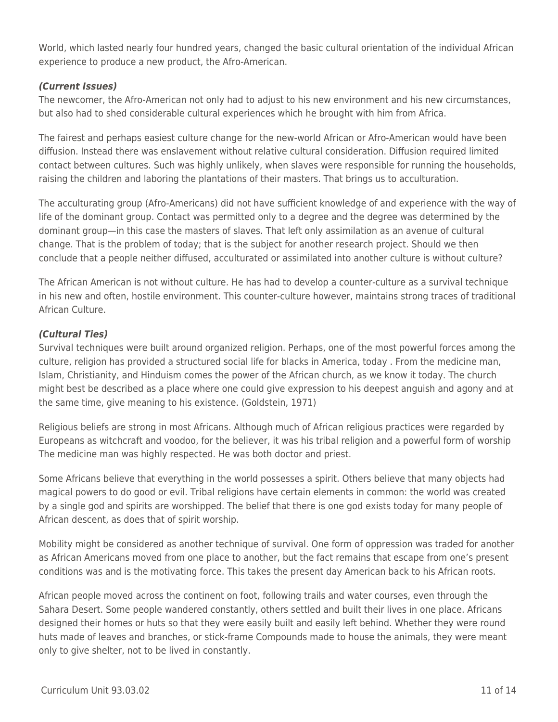World, which lasted nearly four hundred years, changed the basic cultural orientation of the individual African experience to produce a new product, the Afro-American.

### *(Current Issues)*

The newcomer, the Afro-American not only had to adjust to his new environment and his new circumstances, but also had to shed considerable cultural experiences which he brought with him from Africa.

The fairest and perhaps easiest culture change for the new-world African or Afro-American would have been diffusion. Instead there was enslavement without relative cultural consideration. Diffusion required limited contact between cultures. Such was highly unlikely, when slaves were responsible for running the households, raising the children and laboring the plantations of their masters. That brings us to acculturation.

The acculturating group (Afro-Americans) did not have sufficient knowledge of and experience with the way of life of the dominant group. Contact was permitted only to a degree and the degree was determined by the dominant group—in this case the masters of slaves. That left only assimilation as an avenue of cultural change. That is the problem of today; that is the subject for another research project. Should we then conclude that a people neither diffused, acculturated or assimilated into another culture is without culture?

The African American is not without culture. He has had to develop a counter-culture as a survival technique in his new and often, hostile environment. This counter-culture however, maintains strong traces of traditional African Culture.

### *(Cultural Ties)*

Survival techniques were built around organized religion. Perhaps, one of the most powerful forces among the culture, religion has provided a structured social life for blacks in America, today . From the medicine man, Islam, Christianity, and Hinduism comes the power of the African church, as we know it today. The church might best be described as a place where one could give expression to his deepest anguish and agony and at the same time, give meaning to his existence. (Goldstein, 1971)

Religious beliefs are strong in most Africans. Although much of African religious practices were regarded by Europeans as witchcraft and voodoo, for the believer, it was his tribal religion and a powerful form of worship The medicine man was highly respected. He was both doctor and priest.

Some Africans believe that everything in the world possesses a spirit. Others believe that many objects had magical powers to do good or evil. Tribal religions have certain elements in common: the world was created by a single god and spirits are worshipped. The belief that there is one god exists today for many people of African descent, as does that of spirit worship.

Mobility might be considered as another technique of survival. One form of oppression was traded for another as African Americans moved from one place to another, but the fact remains that escape from one's present conditions was and is the motivating force. This takes the present day American back to his African roots.

African people moved across the continent on foot, following trails and water courses, even through the Sahara Desert. Some people wandered constantly, others settled and built their lives in one place. Africans designed their homes or huts so that they were easily built and easily left behind. Whether they were round huts made of leaves and branches, or stick-frame Compounds made to house the animals, they were meant only to give shelter, not to be lived in constantly.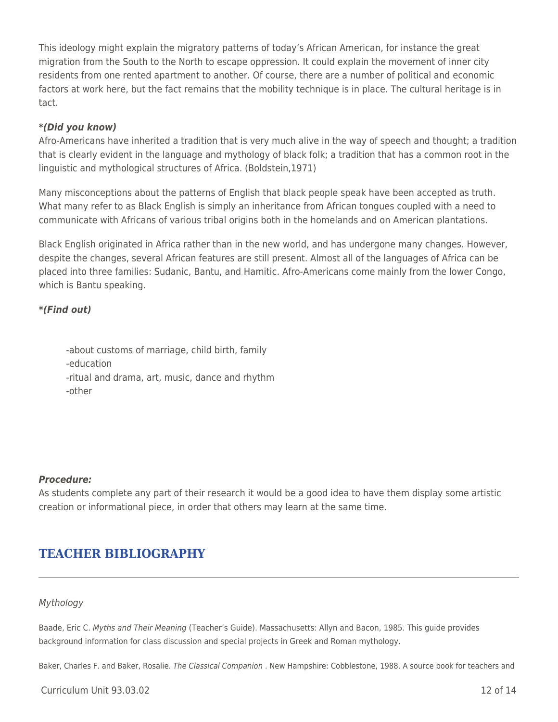This ideology might explain the migratory patterns of today's African American, for instance the great migration from the South to the North to escape oppression. It could explain the movement of inner city residents from one rented apartment to another. Of course, there are a number of political and economic factors at work here, but the fact remains that the mobility technique is in place. The cultural heritage is in tact.

### *\*(Did you know)*

Afro-Americans have inherited a tradition that is very much alive in the way of speech and thought; a tradition that is clearly evident in the language and mythology of black folk; a tradition that has a common root in the linguistic and mythological structures of Africa. (Boldstein,1971)

Many misconceptions about the patterns of English that black people speak have been accepted as truth. What many refer to as Black English is simply an inheritance from African tongues coupled with a need to communicate with Africans of various tribal origins both in the homelands and on American plantations.

Black English originated in Africa rather than in the new world, and has undergone many changes. However, despite the changes, several African features are still present. Almost all of the languages of Africa can be placed into three families: Sudanic, Bantu, and Hamitic. Afro-Americans come mainly from the lower Congo, which is Bantu speaking.

### *\*(Find out)*

-about customs of marriage, child birth, family -education -ritual and drama, art, music, dance and rhythm -other

### *Procedure:*

As students complete any part of their research it would be a good idea to have them display some artistic creation or informational piece, in order that others may learn at the same time.

# **TEACHER BIBLIOGRAPHY**

### Mythology

Baade, Eric C. Myths and Their Meaning (Teacher's Guide). Massachusetts: Allyn and Bacon, 1985. This guide provides background information for class discussion and special projects in Greek and Roman mythology.

Baker, Charles F. and Baker, Rosalie. The Classical Companion . New Hampshire: Cobblestone, 1988. A source book for teachers and

Curriculum Unit 93.03.02 12 of 14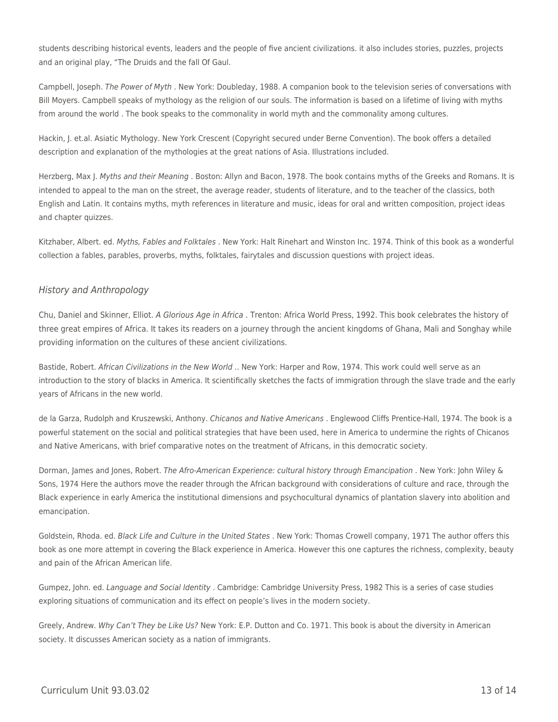students describing historical events, leaders and the people of five ancient civilizations. it also includes stories, puzzles, projects and an original play, "The Druids and the fall Of Gaul.

Campbell, Joseph. The Power of Myth . New York: Doubleday, 1988. A companion book to the television series of conversations with Bill Moyers. Campbell speaks of mythology as the religion of our souls. The information is based on a lifetime of living with myths from around the world . The book speaks to the commonality in world myth and the commonality among cultures.

Hackin, J. et.al. Asiatic Mythology. New York Crescent (Copyright secured under Berne Convention). The book offers a detailed description and explanation of the mythologies at the great nations of Asia. Illustrations included.

Herzberg, Max J. Myths and their Meaning . Boston: Allyn and Bacon, 1978. The book contains myths of the Greeks and Romans. It is intended to appeal to the man on the street, the average reader, students of literature, and to the teacher of the classics, both English and Latin. It contains myths, myth references in literature and music, ideas for oral and written composition, project ideas and chapter quizzes.

Kitzhaber, Albert. ed. Myths, Fables and Folktales . New York: Halt Rinehart and Winston Inc. 1974. Think of this book as a wonderful collection a fables, parables, proverbs, myths, folktales, fairytales and discussion questions with project ideas.

#### History and Anthropology

Chu, Daniel and Skinner, Elliot. A Glorious Age in Africa . Trenton: Africa World Press, 1992. This book celebrates the history of three great empires of Africa. It takes its readers on a journey through the ancient kingdoms of Ghana, Mali and Songhay while providing information on the cultures of these ancient civilizations.

Bastide, Robert. African Civilizations in the New World .. New York: Harper and Row, 1974. This work could well serve as an introduction to the story of blacks in America. It scientifically sketches the facts of immigration through the slave trade and the early years of Africans in the new world.

de la Garza, Rudolph and Kruszewski, Anthony. Chicanos and Native Americans . Englewood Cliffs Prentice-Hall, 1974. The book is a powerful statement on the social and political strategies that have been used, here in America to undermine the rights of Chicanos and Native Americans, with brief comparative notes on the treatment of Africans, in this democratic society.

Dorman, James and Jones, Robert. The Afro-American Experience: cultural history through Emancipation . New York: John Wiley & Sons, 1974 Here the authors move the reader through the African background with considerations of culture and race, through the Black experience in early America the institutional dimensions and psychocultural dynamics of plantation slavery into abolition and emancipation.

Goldstein, Rhoda. ed. Black Life and Culture in the United States . New York: Thomas Crowell company, 1971 The author offers this book as one more attempt in covering the Black experience in America. However this one captures the richness, complexity, beauty and pain of the African American life.

Gumpez, John. ed. Language and Social Identity . Cambridge: Cambridge University Press, 1982 This is a series of case studies exploring situations of communication and its effect on people's lives in the modern society.

Greely, Andrew. Why Can't They be Like Us? New York: E.P. Dutton and Co. 1971. This book is about the diversity in American society. It discusses American society as a nation of immigrants.